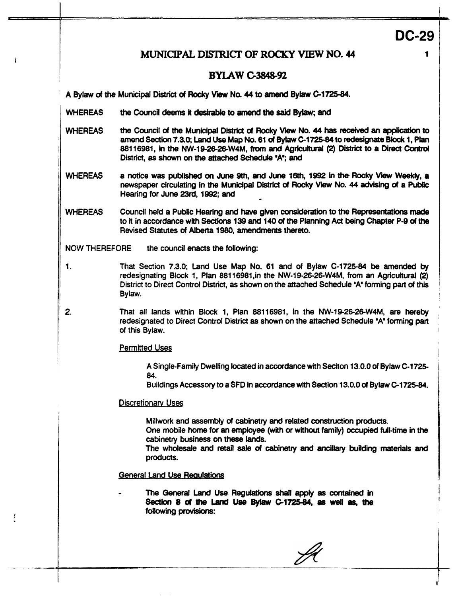**DC-29** 

**1** 

# **MUNICIPAL DISTRICT OF ROCKY VIEW NO. 44**

## **BYLAW C-3848-92**

**<sup>A</sup>**Bylaw *d* **the** Municipal District **of** Rocky View **No. 44 to amend Bylaw C-1725-84.** 

- **WHEREAS the Council deems it desirable to amend the said Bylaw; and**
- **WHEREAS the** Council *d* **the** Municipal District **of Rocky** View **No. 44 has** received **an application to amend Section 7.3.0;** Land Use Map No. 61 *d* Bylaw **C1725-84** to redesignate **Blodc** ls **Plan**  amend Section 7.3.0; Land Use Map No. 61 of Bylaw C-1725-84 to redesignate Block 1, Plan 88116981, in the NW-19-26-26-W4M, from and Agricultural (2) District to a Direct Control District, as shown on the attached Schedule 'A'; and
- WHEREAS a notice was published on June 9th, and June 16th, 1992 in the Rocky View Weekly, a newspaper circulating in the Municipal District of Rocky View No. 44 advising of a Public Hearing for June **23rd, 1992; and**
- **WHEREAS** Council held a Public **Hearing and** have given considerath to the **Representaths made**  to it in accordance with *Sections* 139 **and** 140 **of the** Planning Act being Chapter P-9 **of the**  Revised Statutes **of** Alberta **1980,** amendments thereto.

**NOW THEREFORE** the council enacts **the** following:

- 1. That Section 7.3.0; Land Use Map No. 61 and of Bylaw C-1725-84 be **amended by**  redesignating **Block** 1, **Plan** 88116981,in the NW-19-Z6-2&W4Ml **from** an Agricuttural (2) District to Direct **Control District, as** shown on the attached Schedule **'A'** forming part of this **Bylaw.**
- **2.** That **all** lands within **Block** 1, Plan 88116981, in the NW-19-26-26-W4Ml are **hereby**  redesignated to Direct Control District **as** shown on the **attached** Schedule 'A' forming part of this **Bylaw.**

#### Permitted Uses

A Single-Family Dwelling located in **amdance** with **Seciton** 13.0.0 of **Bylaw** C-1725- 84.

6uildings Accessory to **a SFD** in **accordance** with Section 13.0.0 **of Bylaw C-1725.84.** 

#### Discretionary Uses

**Millwork and** assembly **of** cabinetry **and** related construction **products.**  One **mobile** home **for an** employee **(with** or without **family)** occupied **full-time in the** 

cabinetry buslness *on* these **lands.** 

The wholesale **and retail sale of** cabinetry **and anciliary** buiWing materials **and**  products.

### **General Land Use Requiations**

*<sup>0</sup>***The General** Land **Use Regulations** *shall apply* **as** *comined* **in following** provisions: Section **8 of** the Land Use Bylaw C-1725-84, **as** well **as, the**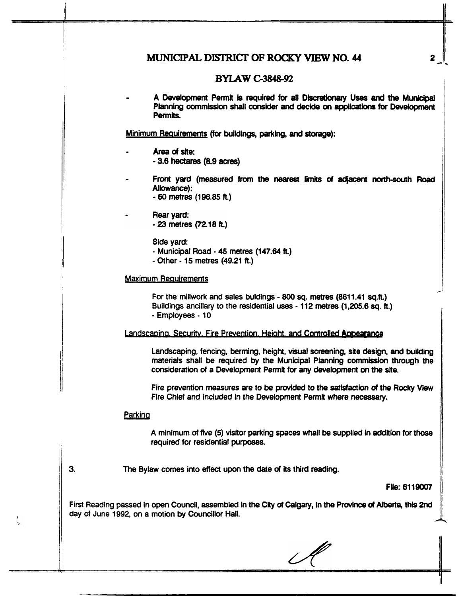# MUNICIPAL **DISTRICT OF ROCKY** VIEW **NO. 44**

## **BYLAWC.3848-92**

A Development Permit is required for all Discretionary Uses and the Municipal **Planning commission shall** *consider* **and decide** *on* **applications** for *oevelopment*  **Permits.** 

Minimum **Reauirements (for** buildings, **parking, and** *starage):* 

- **Mea of site:**  - **3.6** hectares **(8.9 acreS)**
- *<sup>0</sup>*Front yard (measured from **the neatest** limits *d* **adjacent notth-gouth Road**  *Allowance):* 
	- *60* **metres (196.85** ft.)
- Rear yard: - 23 metres (72.18 ft.)

Side **yard:** 

- Municipal Road 45 metres (147.64 h)
- Other 15 metres (49.21 ft.)

#### Maximum Reauirements

For the **millwork** and **sales** buldings - *800* sq. metres (861 1.41 **sq.R.)**  Buildings ancillary to the residential uses - 112 metres **(1,205.6** *sq.* **ft.)**  - **Employees** - **10** 

### Landscaping, Security, Fire Prevention, Height, and Controlled Appearance

Landscaping, fencing, **berming,** height, visual screening, **site** design, **and** building materials **shall** be required by the **Municipal** Planning **comm through** the consideration of a Development **Permit** for *any* **development** *on* **the site,** 

Fire prevention measures are to be **provided** *to the* **satisfaction** *04* **the** Rocky Vi fire Chief and included in the Development **Permit** where **necessary.** 

#### **Parking**

A minimum **of** five (5) **viskor** parking **spaces Wall be supplied kr** addition for those required for residential purposes.

**3.** The **Bylaw** comes into *effect* **upon** the date **of** its third reading.

#### **FUe: 6119007**

First Reading passed in open Council, assembled in **the** City **of** Calgary, in **the Province of** Alberta, **this** 2nd day of June 1992, on a motion **by** Councillor Hall.

2

:ا ــ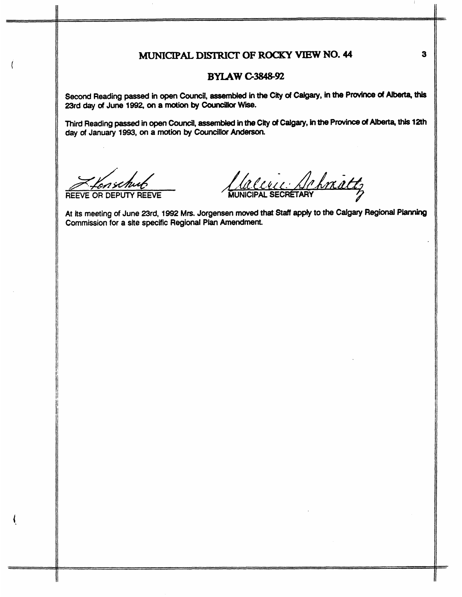# **MUNICIPAL DISTRICT OF ROCKY VIEW NO. 44**

### **BYIAWG3848-2**

**Second Reading** passed **in open Council, assembled in** the *City* **of** *Calgary,* **in the Plovince of Alberta,** this **23rd** *day* **of June 1992,** *on* **a motion by** *coundllor* **Wise.** 

**Third Reading** passed **in** *open* **Council, assemMed** in the *City at* **Calgary, k, the Province** *d* **Alberta, this 12th day of January 1993,** *on* **a** mation **by Councillar** *Anderson.* 

**REEVE OR DEPUTY REEVE** 

Lacence Schmatt

**At its meeting of June Brd, 1992 Mrs. Jorgensen moved that** *Staff apply* **to the** *Calgary* **Regional Pbnnkrg Commission for a site specific Regional Plan Amendment.** 

**3**